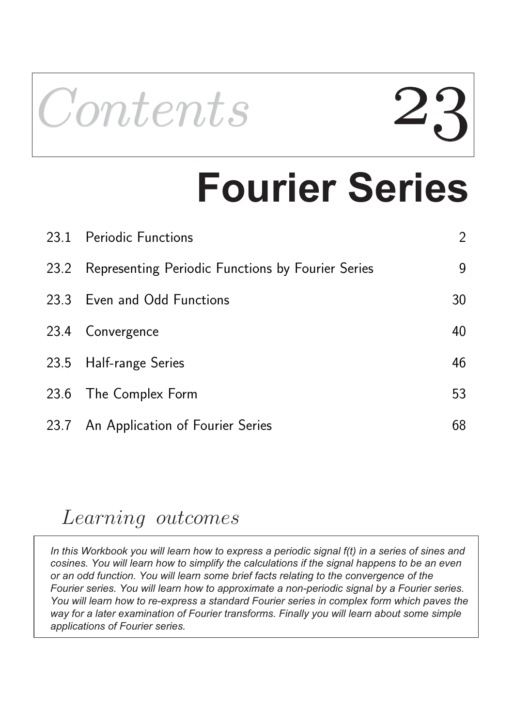

# **Fourier Series**

| 23.1 Periodic Functions                                | $\overline{2}$ |
|--------------------------------------------------------|----------------|
| 23.2 Representing Periodic Functions by Fourier Series | 9              |
| 23.3 Even and Odd Functions                            | 30             |
| 23.4 Convergence                                       | 40             |
| 23.5 Half-range Series                                 | 46             |
| 23.6 The Complex Form                                  | 53             |
| 23.7 An Application of Fourier Series                  | 68             |

### Learning outcomes

*In this Workbook you will learn how to express a periodic signal f(t) in a series of sines and cosines. You will learn how to simplify the calculations if the signal happens to be an even or an odd function. You will learn some brief facts relating to the convergence of the Fourier series. You will learn how to approximate a non-periodic signal by a Fourier series. You will learn how to re-express a standard Fourier series in complex form which paves the way for a later examination of Fourier transforms. Finally you will learn about some simple applications of Fourier series.*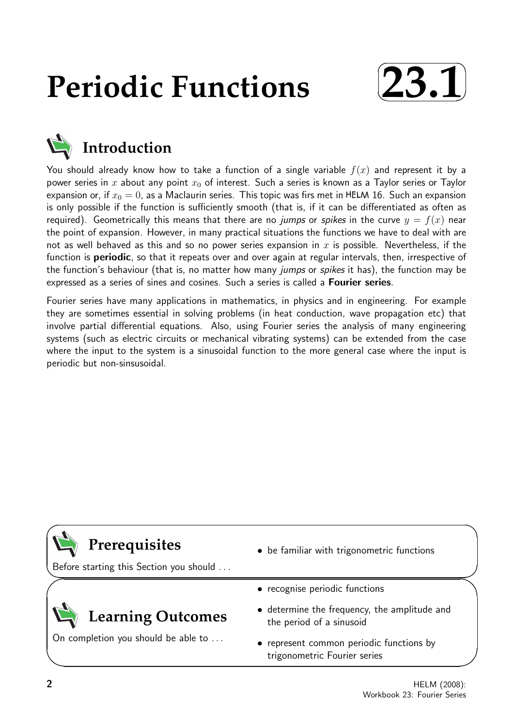## **Periodic Functions**





You should already know how to take a function of a single variable  $f(x)$  and represent it by a power series in x about any point  $x_0$  of interest. Such a series is known as a Taylor series or Taylor expansion or, if  $x_0 = 0$ , as a Maclaurin series. This topic was firs met in HELM 16. Such an expansion is only possible if the function is sufficiently smooth (that is, if it can be differentiated as often as required). Geometrically this means that there are no jumps or spikes in the curve  $y = f(x)$  near the point of expansion. However, in many practical situations the functions we have to deal with are not as well behaved as this and so no power series expansion in x is possible. Nevertheless, if the function is **periodic**, so that it repeats over and over again at regular intervals, then, irrespective of the function's behaviour (that is, no matter how many jumps or spikes it has), the function may be expressed as a series of sines and cosines. Such a series is called a Fourier series.

Fourier series have many applications in mathematics, in physics and in engineering. For example they are sometimes essential in solving problems (in heat conduction, wave propagation etc) that involve partial differential equations. Also, using Fourier series the analysis of many engineering systems (such as electric circuits or mechanical vibrating systems) can be extended from the case where the input to the system is a sinusoidal function to the more general case where the input is periodic but non-sinsusoidal.

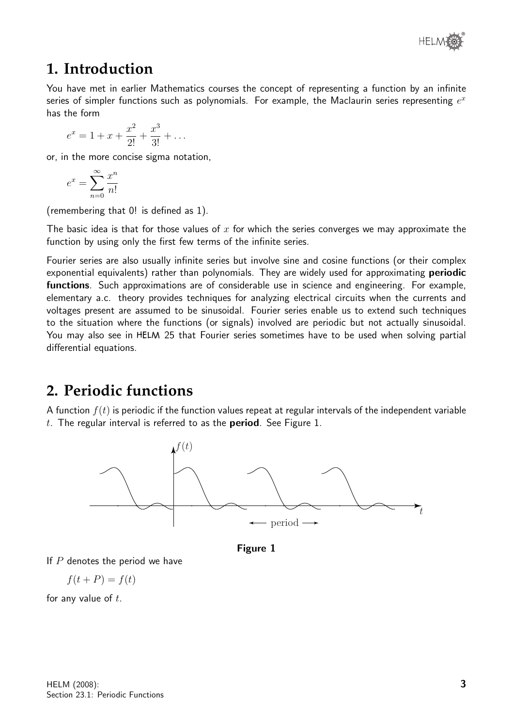

#### **1. Introduction**

You have met in earlier Mathematics courses the concept of representing a function by an infinite series of simpler functions such as polynomials. For example, the Maclaurin series representing  $e^x$ has the form

$$
e^x = 1 + x + \frac{x^2}{2!} + \frac{x^3}{3!} + \dots
$$

or, in the more concise sigma notation,

$$
e^x = \sum_{n=0}^{\infty} \frac{x^n}{n!}
$$

(remembering that 0! is defined as 1).

The basic idea is that for those values of  $x$  for which the series converges we may approximate the function by using only the first few terms of the infinite series.

Fourier series are also usually infinite series but involve sine and cosine functions (or their complex exponential equivalents) rather than polynomials. They are widely used for approximating **periodic** functions. Such approximations are of considerable use in science and engineering. For example, elementary a.c. theory provides techniques for analyzing electrical circuits when the currents and voltages present are assumed to be sinusoidal. Fourier series enable us to extend such techniques to the situation where the functions (or signals) involved are periodic but not actually sinusoidal. You may also see in HELM 25 that Fourier series sometimes have to be used when solving partial differential equations.

#### **2. Periodic functions**

A function  $f(t)$  is periodic if the function values repeat at regular intervals of the independent variable t. The regular interval is referred to as the **period**. See Figure 1.





If  $P$  denotes the period we have

$$
f(t+P) = f(t)
$$

for any value of  $t$ .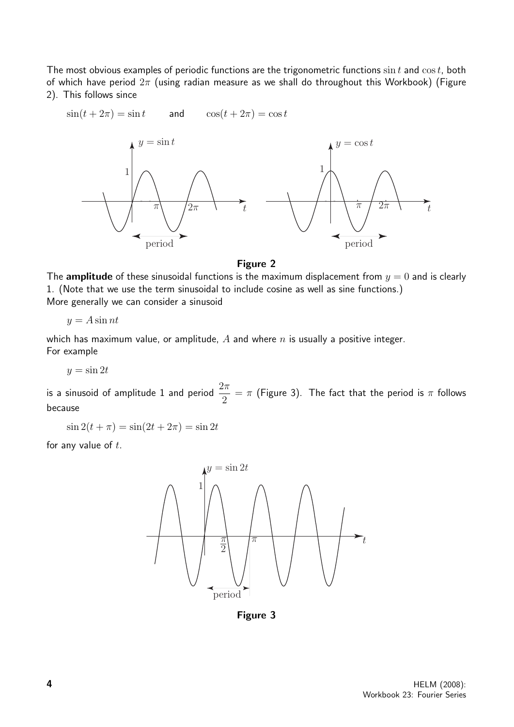The most obvious examples of periodic functions are the trigonometric functions  $\sin t$  and  $\cos t$ , both of which have period  $2\pi$  (using radian measure as we shall do throughout this Workbook) (Figure 2). This follows since



#### Figure 2

The **amplitude** of these sinusoidal functions is the maximum displacement from  $y = 0$  and is clearly 1. (Note that we use the term sinusoidal to include cosine as well as sine functions.) More generally we can consider a sinusoid

 $y = A \sin nt$ 

which has maximum value, or amplitude,  $A$  and where  $n$  is usually a positive integer. For example

 $y = \sin 2t$ 

is a sinusoid of amplitude 1 and period  $\frac{2\pi}{2}$ 2  $=\pi$  (Figure 3). The fact that the period is  $\pi$  follows because

$$
\sin 2(t + \pi) = \sin(2t + 2\pi) = \sin 2t
$$

for any value of  $t$ .



Figure 3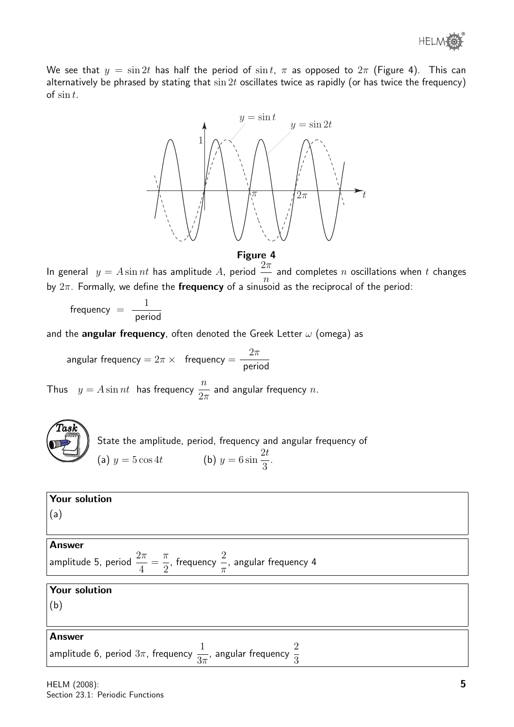We see that  $y = \sin 2t$  has half the period of  $\sin t$ ,  $\pi$  as opposed to  $2\pi$  (Figure 4). This can alternatively be phrased by stating that  $\sin 2t$  oscillates twice as rapidly (or has twice the frequency) of  $\sin t$ .



#### Figure 4

In general  $y = A \sin nt$  has amplitude A, period  $\frac{2\pi}{n}$ n and completes  $n$  oscillations when  $t$  changes by  $2\pi$ . Formally, we define the frequency of a sinusoid as the reciprocal of the period:

 $frequency =$ 1 period

and the angular frequency, often denoted the Greek Letter  $\omega$  (omega) as

angular frequency = 
$$
2\pi \times
$$
 frequency =  $\frac{2\pi}{\text{period}}$ 

Thus  $y = A \sin nt$  has frequency  $\frac{n}{2}$  $2\pi$ and angular frequency  $n$ .

| .ask |  |
|------|--|
|      |  |

State the amplitude, period, frequency and angular frequency of (a)  $y = 5 \cos 4t$  (b)  $y = 6 \sin$  $2<sub>t</sub>$ 3 .

| Your solution                                                                                                                                   |  |  |
|-------------------------------------------------------------------------------------------------------------------------------------------------|--|--|
| (a)                                                                                                                                             |  |  |
|                                                                                                                                                 |  |  |
| <b>Answer</b>                                                                                                                                   |  |  |
| $\bigg\vert$ amplitude 5, period $\displaystyle{\frac{2\pi}{4}=\frac{\pi}{2}}$ , frequency $\displaystyle{\frac{2}{\pi}}$ , angular frequency 4 |  |  |
|                                                                                                                                                 |  |  |
| Your solution                                                                                                                                   |  |  |
| (b)                                                                                                                                             |  |  |
|                                                                                                                                                 |  |  |
| <b>Answer</b>                                                                                                                                   |  |  |
| amplitude 6, period $3\pi$ , frequency $\displaystyle{\frac{1}{3\pi}}$ , angular frequency $\displaystyle{\frac{2}{3}}$                         |  |  |
|                                                                                                                                                 |  |  |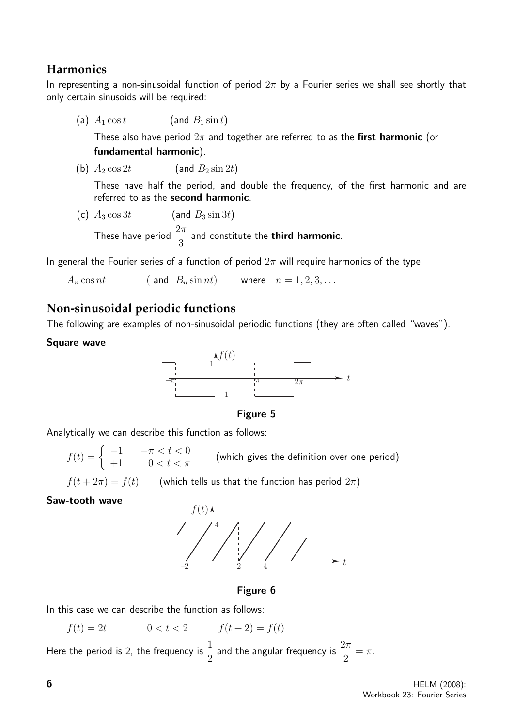#### **Harmonics**

In representing a non-sinusoidal function of period  $2\pi$  by a Fourier series we shall see shortly that only certain sinusoids will be required:

(a)  $A_1 \cos t$  (and  $B_1 \sin t$ )

These also have period  $2\pi$  and together are referred to as the first harmonic (or fundamental harmonic).

(b)  $A_2 \cos 2t$  (and  $B_2 \sin 2t$ )

These have half the period, and double the frequency, of the first harmonic and are referred to as the second harmonic.

(c) 
$$
A_3 \cos 3t
$$
 (and  $B_3 \sin 3t$ )

These have period  $\frac{2\pi}{3}$ 3 and constitute the third harmonic.

In general the Fourier series of a function of period  $2\pi$  will require harmonics of the type

 $A_n \cos nt$  ( and  $B_n \sin nt$ ) where  $n = 1, 2, 3, ...$ 

#### **Non-sinusoidal periodic functions**

The following are examples of non-sinusoidal periodic functions (they are often called "waves").

#### Square wave



Figure 5

Analytically we can describe this function as follows:

 $f(t) = \left\{ \begin{array}{ccc} -1 & -\pi < t < 0 \ +1 & 0 < t < \pi \end{array} \right. \qquad \text{(which gives the definition over one period)}$ 

 $f(t + 2\pi) = f(t)$  (which tells us that the function has period  $2\pi$ )

#### Saw-tooth wave



Figure 6

In this case we can describe the function as follows:

 $f(t) = 2t$   $0 < t < 2$   $f(t+2) = f(t)$ 

Here the period is 2, the frequency is  $\frac{1}{2}$ 2 and the angular frequency is  $\frac{2\pi}{9}$ 2  $=$   $\pi$ .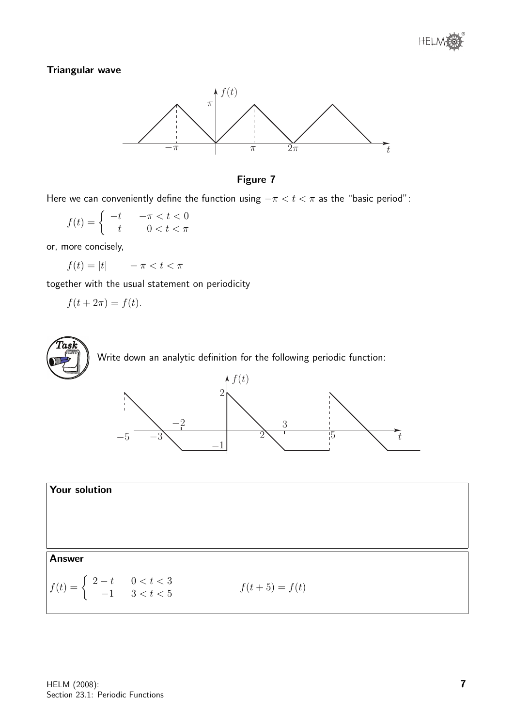#### Triangular wave





Here we can conveniently define the function using  $-\pi < t < \pi$  as the "basic period":

$$
f(t) = \begin{cases} -t & -\pi < t < 0\\ t & 0 < t < \pi \end{cases}
$$

or, more concisely,

 $f(t) = |t|$   $-\pi < t < \pi$ 

together with the usual statement on periodicity

$$
f(t + 2\pi) = f(t).
$$





#### Your solution

#### Answer

$$
f(t) = \begin{cases} 2-t & 0 < t < 3 \\ -1 & 3 < t < 5 \end{cases}
$$
  $f(t+5) = f(t)$